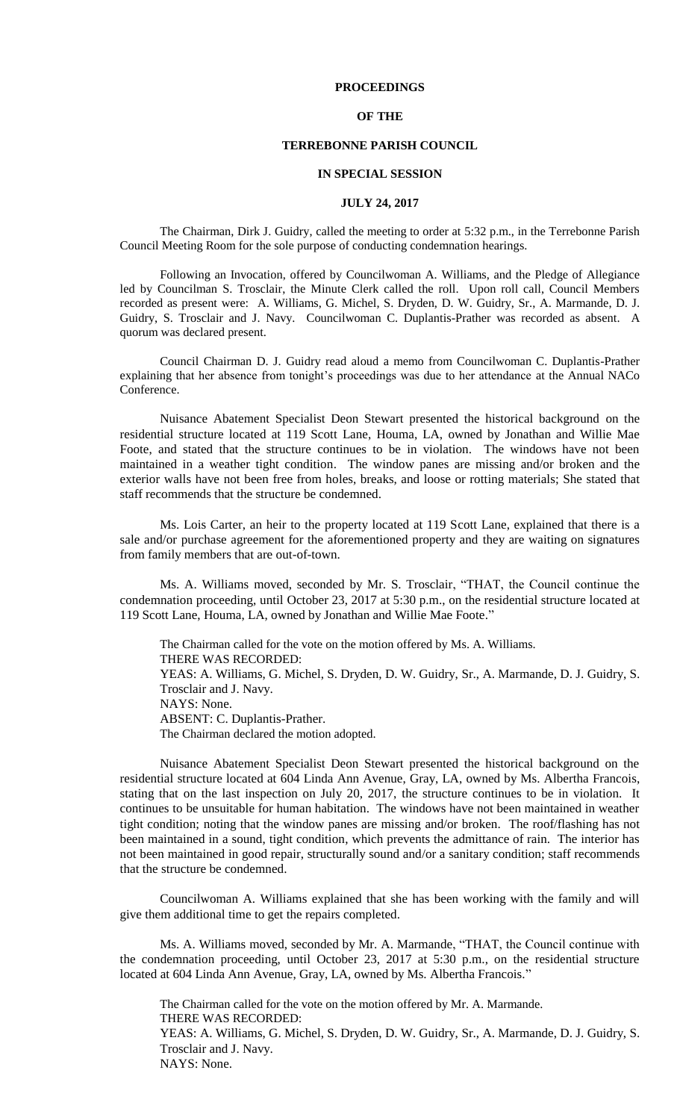## **PROCEEDINGS**

## **OF THE**

## **TERREBONNE PARISH COUNCIL**

### **IN SPECIAL SESSION**

#### **JULY 24, 2017**

The Chairman, Dirk J. Guidry, called the meeting to order at 5:32 p.m., in the Terrebonne Parish Council Meeting Room for the sole purpose of conducting condemnation hearings.

Following an Invocation, offered by Councilwoman A. Williams, and the Pledge of Allegiance led by Councilman S. Trosclair, the Minute Clerk called the roll. Upon roll call, Council Members recorded as present were: A. Williams, G. Michel, S. Dryden, D. W. Guidry, Sr., A. Marmande, D. J. Guidry, S. Trosclair and J. Navy. Councilwoman C. Duplantis-Prather was recorded as absent. A quorum was declared present.

Council Chairman D. J. Guidry read aloud a memo from Councilwoman C. Duplantis-Prather explaining that her absence from tonight's proceedings was due to her attendance at the Annual NACo Conference.

Nuisance Abatement Specialist Deon Stewart presented the historical background on the residential structure located at 119 Scott Lane, Houma, LA, owned by Jonathan and Willie Mae Foote, and stated that the structure continues to be in violation. The windows have not been maintained in a weather tight condition. The window panes are missing and/or broken and the exterior walls have not been free from holes, breaks, and loose or rotting materials; She stated that staff recommends that the structure be condemned.

Ms. Lois Carter, an heir to the property located at 119 Scott Lane, explained that there is a sale and/or purchase agreement for the aforementioned property and they are waiting on signatures from family members that are out-of-town.

Ms. A. Williams moved, seconded by Mr. S. Trosclair, "THAT, the Council continue the condemnation proceeding, until October 23, 2017 at 5:30 p.m., on the residential structure located at 119 Scott Lane, Houma, LA, owned by Jonathan and Willie Mae Foote."

The Chairman called for the vote on the motion offered by Ms. A. Williams. THERE WAS RECORDED: YEAS: A. Williams, G. Michel, S. Dryden, D. W. Guidry, Sr., A. Marmande, D. J. Guidry, S. Trosclair and J. Navy. NAYS: None. ABSENT: C. Duplantis-Prather. The Chairman declared the motion adopted.

Nuisance Abatement Specialist Deon Stewart presented the historical background on the residential structure located at 604 Linda Ann Avenue, Gray, LA, owned by Ms. Albertha Francois, stating that on the last inspection on July 20, 2017, the structure continues to be in violation. It continues to be unsuitable for human habitation. The windows have not been maintained in weather tight condition; noting that the window panes are missing and/or broken. The roof/flashing has not been maintained in a sound, tight condition, which prevents the admittance of rain. The interior has not been maintained in good repair, structurally sound and/or a sanitary condition; staff recommends that the structure be condemned.

Councilwoman A. Williams explained that she has been working with the family and will give them additional time to get the repairs completed.

Ms. A. Williams moved, seconded by Mr. A. Marmande, "THAT, the Council continue with the condemnation proceeding, until October 23, 2017 at 5:30 p.m., on the residential structure located at 604 Linda Ann Avenue, Gray, LA, owned by Ms. Albertha Francois."

The Chairman called for the vote on the motion offered by Mr. A. Marmande. THERE WAS RECORDED: YEAS: A. Williams, G. Michel, S. Dryden, D. W. Guidry, Sr., A. Marmande, D. J. Guidry, S. Trosclair and J. Navy. NAYS: None.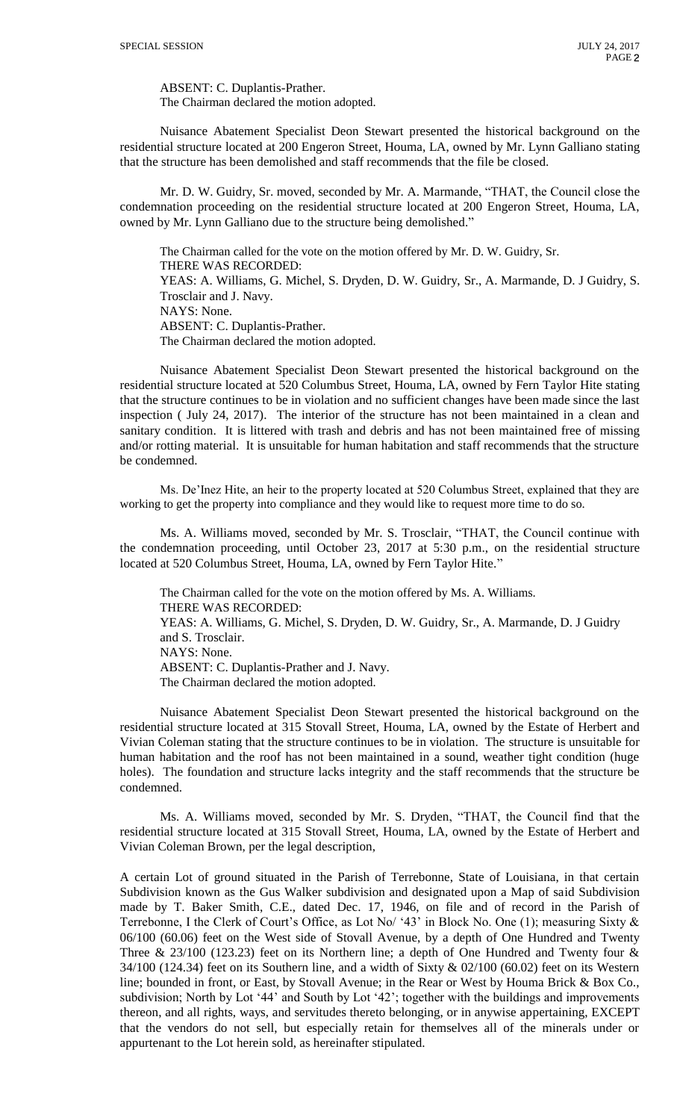ABSENT: C. Duplantis-Prather. The Chairman declared the motion adopted.

Nuisance Abatement Specialist Deon Stewart presented the historical background on the residential structure located at 200 Engeron Street, Houma, LA, owned by Mr. Lynn Galliano stating that the structure has been demolished and staff recommends that the file be closed.

Mr. D. W. Guidry, Sr. moved, seconded by Mr. A. Marmande, "THAT, the Council close the condemnation proceeding on the residential structure located at 200 Engeron Street, Houma, LA, owned by Mr. Lynn Galliano due to the structure being demolished."

The Chairman called for the vote on the motion offered by Mr. D. W. Guidry, Sr. THERE WAS RECORDED: YEAS: A. Williams, G. Michel, S. Dryden, D. W. Guidry, Sr., A. Marmande, D. J Guidry, S. Trosclair and J. Navy. NAYS: None. ABSENT: C. Duplantis-Prather. The Chairman declared the motion adopted.

Nuisance Abatement Specialist Deon Stewart presented the historical background on the residential structure located at 520 Columbus Street, Houma, LA, owned by Fern Taylor Hite stating that the structure continues to be in violation and no sufficient changes have been made since the last inspection ( July 24, 2017). The interior of the structure has not been maintained in a clean and sanitary condition. It is littered with trash and debris and has not been maintained free of missing and/or rotting material. It is unsuitable for human habitation and staff recommends that the structure be condemned.

Ms. De'Inez Hite, an heir to the property located at 520 Columbus Street, explained that they are working to get the property into compliance and they would like to request more time to do so.

Ms. A. Williams moved, seconded by Mr. S. Trosclair, "THAT, the Council continue with the condemnation proceeding, until October 23, 2017 at 5:30 p.m., on the residential structure located at 520 Columbus Street, Houma, LA, owned by Fern Taylor Hite."

The Chairman called for the vote on the motion offered by Ms. A. Williams. THERE WAS RECORDED: YEAS: A. Williams, G. Michel, S. Dryden, D. W. Guidry, Sr., A. Marmande, D. J Guidry and S. Trosclair. NAYS: None. ABSENT: C. Duplantis-Prather and J. Navy. The Chairman declared the motion adopted.

Nuisance Abatement Specialist Deon Stewart presented the historical background on the residential structure located at 315 Stovall Street, Houma, LA, owned by the Estate of Herbert and Vivian Coleman stating that the structure continues to be in violation. The structure is unsuitable for human habitation and the roof has not been maintained in a sound, weather tight condition (huge holes). The foundation and structure lacks integrity and the staff recommends that the structure be condemned.

Ms. A. Williams moved, seconded by Mr. S. Dryden, "THAT, the Council find that the residential structure located at 315 Stovall Street, Houma, LA, owned by the Estate of Herbert and Vivian Coleman Brown, per the legal description,

A certain Lot of ground situated in the Parish of Terrebonne, State of Louisiana, in that certain Subdivision known as the Gus Walker subdivision and designated upon a Map of said Subdivision made by T. Baker Smith, C.E., dated Dec. 17, 1946, on file and of record in the Parish of Terrebonne, I the Clerk of Court's Office, as Lot No/ '43' in Block No. One (1); measuring Sixty & 06/100 (60.06) feet on the West side of Stovall Avenue, by a depth of One Hundred and Twenty Three & 23/100 (123.23) feet on its Northern line; a depth of One Hundred and Twenty four  $\&$  $34/100$  (124.34) feet on its Southern line, and a width of Sixty & 02/100 (60.02) feet on its Western line; bounded in front, or East, by Stovall Avenue; in the Rear or West by Houma Brick & Box Co., subdivision; North by Lot '44' and South by Lot '42'; together with the buildings and improvements thereon, and all rights, ways, and servitudes thereto belonging, or in anywise appertaining, EXCEPT that the vendors do not sell, but especially retain for themselves all of the minerals under or appurtenant to the Lot herein sold, as hereinafter stipulated.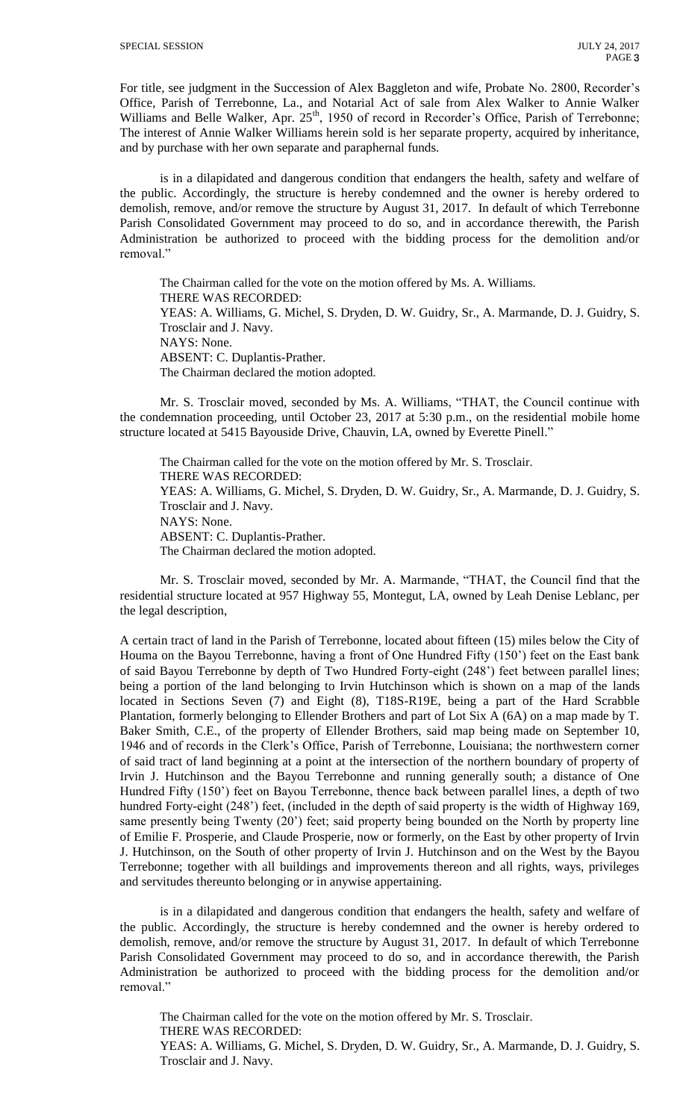For title, see judgment in the Succession of Alex Baggleton and wife, Probate No. 2800, Recorder's Office, Parish of Terrebonne, La., and Notarial Act of sale from Alex Walker to Annie Walker Williams and Belle Walker, Apr. 25<sup>th</sup>, 1950 of record in Recorder's Office, Parish of Terrebonne; The interest of Annie Walker Williams herein sold is her separate property, acquired by inheritance, and by purchase with her own separate and paraphernal funds.

is in a dilapidated and dangerous condition that endangers the health, safety and welfare of the public. Accordingly, the structure is hereby condemned and the owner is hereby ordered to demolish, remove, and/or remove the structure by August 31, 2017. In default of which Terrebonne Parish Consolidated Government may proceed to do so, and in accordance therewith, the Parish Administration be authorized to proceed with the bidding process for the demolition and/or removal."

The Chairman called for the vote on the motion offered by Ms. A. Williams. THERE WAS RECORDED: YEAS: A. Williams, G. Michel, S. Dryden, D. W. Guidry, Sr., A. Marmande, D. J. Guidry, S. Trosclair and J. Navy. NAYS: None. ABSENT: C. Duplantis-Prather. The Chairman declared the motion adopted.

Mr. S. Trosclair moved, seconded by Ms. A. Williams, "THAT, the Council continue with the condemnation proceeding, until October 23, 2017 at 5:30 p.m., on the residential mobile home structure located at 5415 Bayouside Drive, Chauvin, LA, owned by Everette Pinell."

The Chairman called for the vote on the motion offered by Mr. S. Trosclair. THERE WAS RECORDED: YEAS: A. Williams, G. Michel, S. Dryden, D. W. Guidry, Sr., A. Marmande, D. J. Guidry, S. Trosclair and J. Navy. NAYS: None. ABSENT: C. Duplantis-Prather. The Chairman declared the motion adopted.

Mr. S. Trosclair moved, seconded by Mr. A. Marmande, "THAT, the Council find that the residential structure located at 957 Highway 55, Montegut, LA, owned by Leah Denise Leblanc, per the legal description,

A certain tract of land in the Parish of Terrebonne, located about fifteen (15) miles below the City of Houma on the Bayou Terrebonne, having a front of One Hundred Fifty (150') feet on the East bank of said Bayou Terrebonne by depth of Two Hundred Forty-eight (248') feet between parallel lines; being a portion of the land belonging to Irvin Hutchinson which is shown on a map of the lands located in Sections Seven (7) and Eight (8), T18S-R19E, being a part of the Hard Scrabble Plantation, formerly belonging to Ellender Brothers and part of Lot Six A (6A) on a map made by T. Baker Smith, C.E., of the property of Ellender Brothers, said map being made on September 10, 1946 and of records in the Clerk's Office, Parish of Terrebonne, Louisiana; the northwestern corner of said tract of land beginning at a point at the intersection of the northern boundary of property of Irvin J. Hutchinson and the Bayou Terrebonne and running generally south; a distance of One Hundred Fifty (150') feet on Bayou Terrebonne, thence back between parallel lines, a depth of two hundred Forty-eight (248') feet, (included in the depth of said property is the width of Highway 169, same presently being Twenty (20') feet; said property being bounded on the North by property line of Emilie F. Prosperie, and Claude Prosperie, now or formerly, on the East by other property of Irvin J. Hutchinson, on the South of other property of Irvin J. Hutchinson and on the West by the Bayou Terrebonne; together with all buildings and improvements thereon and all rights, ways, privileges and servitudes thereunto belonging or in anywise appertaining.

is in a dilapidated and dangerous condition that endangers the health, safety and welfare of the public. Accordingly, the structure is hereby condemned and the owner is hereby ordered to demolish, remove, and/or remove the structure by August 31, 2017. In default of which Terrebonne Parish Consolidated Government may proceed to do so, and in accordance therewith, the Parish Administration be authorized to proceed with the bidding process for the demolition and/or removal."

The Chairman called for the vote on the motion offered by Mr. S. Trosclair. THERE WAS RECORDED: YEAS: A. Williams, G. Michel, S. Dryden, D. W. Guidry, Sr., A. Marmande, D. J. Guidry, S. Trosclair and J. Navy.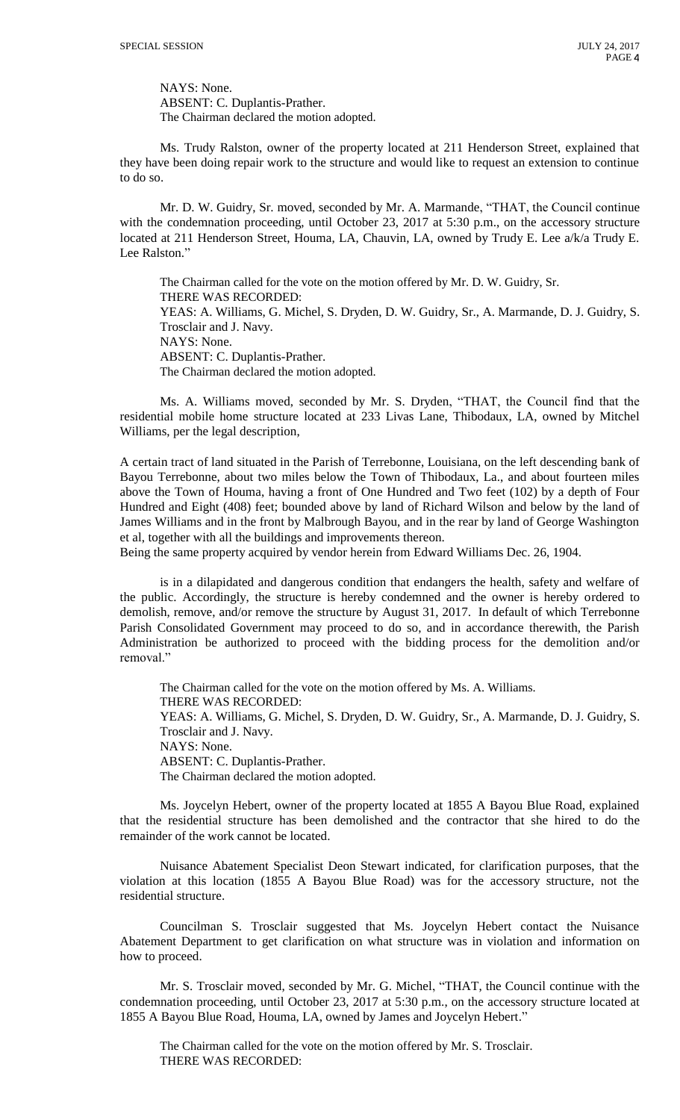NAYS: None. ABSENT: C. Duplantis-Prather. The Chairman declared the motion adopted.

Ms. Trudy Ralston, owner of the property located at 211 Henderson Street, explained that they have been doing repair work to the structure and would like to request an extension to continue to do so.

Mr. D. W. Guidry, Sr. moved, seconded by Mr. A. Marmande, "THAT, the Council continue with the condemnation proceeding, until October 23, 2017 at 5:30 p.m., on the accessory structure located at 211 Henderson Street, Houma, LA, Chauvin, LA, owned by Trudy E. Lee a/k/a Trudy E. Lee Ralston."

The Chairman called for the vote on the motion offered by Mr. D. W. Guidry, Sr. THERE WAS RECORDED: YEAS: A. Williams, G. Michel, S. Dryden, D. W. Guidry, Sr., A. Marmande, D. J. Guidry, S. Trosclair and J. Navy. NAYS: None. ABSENT: C. Duplantis-Prather. The Chairman declared the motion adopted.

Ms. A. Williams moved, seconded by Mr. S. Dryden, "THAT, the Council find that the residential mobile home structure located at 233 Livas Lane, Thibodaux, LA, owned by Mitchel Williams, per the legal description,

A certain tract of land situated in the Parish of Terrebonne, Louisiana, on the left descending bank of Bayou Terrebonne, about two miles below the Town of Thibodaux, La., and about fourteen miles above the Town of Houma, having a front of One Hundred and Two feet (102) by a depth of Four Hundred and Eight (408) feet; bounded above by land of Richard Wilson and below by the land of James Williams and in the front by Malbrough Bayou, and in the rear by land of George Washington et al, together with all the buildings and improvements thereon.

Being the same property acquired by vendor herein from Edward Williams Dec. 26, 1904.

is in a dilapidated and dangerous condition that endangers the health, safety and welfare of the public. Accordingly, the structure is hereby condemned and the owner is hereby ordered to demolish, remove, and/or remove the structure by August 31, 2017. In default of which Terrebonne Parish Consolidated Government may proceed to do so, and in accordance therewith, the Parish Administration be authorized to proceed with the bidding process for the demolition and/or removal."

The Chairman called for the vote on the motion offered by Ms. A. Williams. THERE WAS RECORDED: YEAS: A. Williams, G. Michel, S. Dryden, D. W. Guidry, Sr., A. Marmande, D. J. Guidry, S. Trosclair and J. Navy. NAYS: None. ABSENT: C. Duplantis-Prather. The Chairman declared the motion adopted.

Ms. Joycelyn Hebert, owner of the property located at 1855 A Bayou Blue Road, explained that the residential structure has been demolished and the contractor that she hired to do the remainder of the work cannot be located.

Nuisance Abatement Specialist Deon Stewart indicated, for clarification purposes, that the violation at this location (1855 A Bayou Blue Road) was for the accessory structure, not the residential structure.

Councilman S. Trosclair suggested that Ms. Joycelyn Hebert contact the Nuisance Abatement Department to get clarification on what structure was in violation and information on how to proceed.

Mr. S. Trosclair moved, seconded by Mr. G. Michel, "THAT, the Council continue with the condemnation proceeding, until October 23, 2017 at 5:30 p.m., on the accessory structure located at 1855 A Bayou Blue Road, Houma, LA, owned by James and Joycelyn Hebert."

The Chairman called for the vote on the motion offered by Mr. S. Trosclair. THERE WAS RECORDED: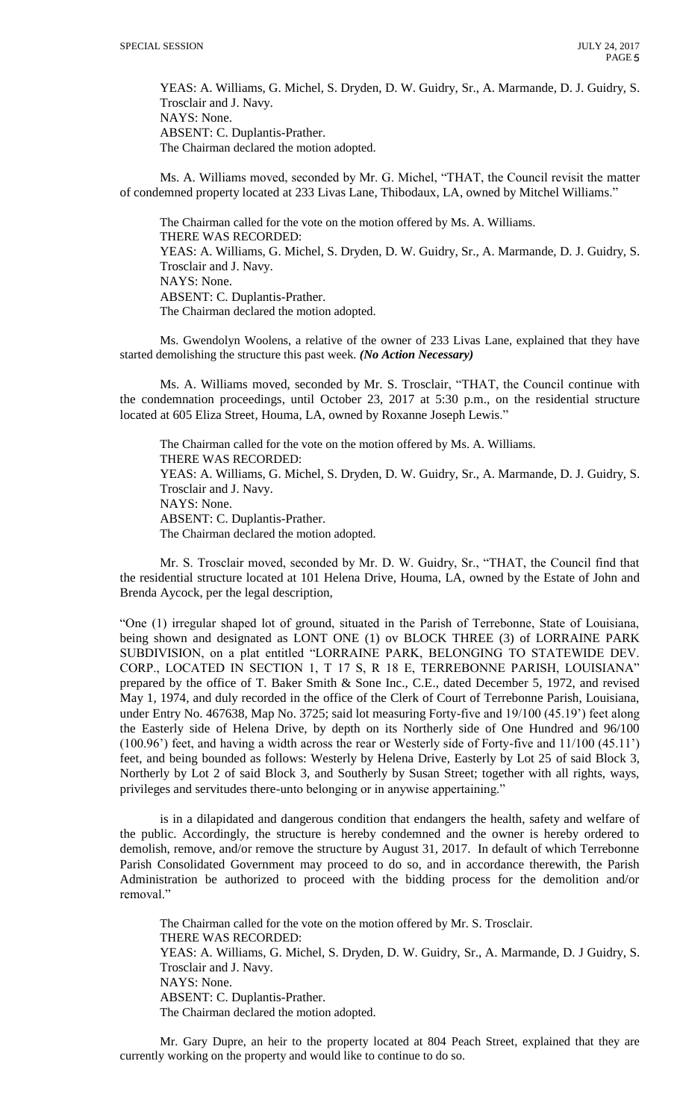YEAS: A. Williams, G. Michel, S. Dryden, D. W. Guidry, Sr., A. Marmande, D. J. Guidry, S. Trosclair and J. Navy. NAYS: None. ABSENT: C. Duplantis-Prather. The Chairman declared the motion adopted.

Ms. A. Williams moved, seconded by Mr. G. Michel, "THAT, the Council revisit the matter of condemned property located at 233 Livas Lane, Thibodaux, LA, owned by Mitchel Williams."

The Chairman called for the vote on the motion offered by Ms. A. Williams. THERE WAS RECORDED: YEAS: A. Williams, G. Michel, S. Dryden, D. W. Guidry, Sr., A. Marmande, D. J. Guidry, S. Trosclair and J. Navy. NAYS: None. ABSENT: C. Duplantis-Prather. The Chairman declared the motion adopted.

Ms. Gwendolyn Woolens, a relative of the owner of 233 Livas Lane, explained that they have started demolishing the structure this past week. *(No Action Necessary)*

Ms. A. Williams moved, seconded by Mr. S. Trosclair, "THAT, the Council continue with the condemnation proceedings, until October 23, 2017 at 5:30 p.m., on the residential structure located at 605 Eliza Street, Houma, LA, owned by Roxanne Joseph Lewis."

The Chairman called for the vote on the motion offered by Ms. A. Williams. THERE WAS RECORDED: YEAS: A. Williams, G. Michel, S. Dryden, D. W. Guidry, Sr., A. Marmande, D. J. Guidry, S. Trosclair and J. Navy. NAYS: None. ABSENT: C. Duplantis-Prather. The Chairman declared the motion adopted.

Mr. S. Trosclair moved, seconded by Mr. D. W. Guidry, Sr., "THAT, the Council find that the residential structure located at 101 Helena Drive, Houma, LA, owned by the Estate of John and Brenda Aycock, per the legal description,

"One (1) irregular shaped lot of ground, situated in the Parish of Terrebonne, State of Louisiana, being shown and designated as LONT ONE (1) ov BLOCK THREE (3) of LORRAINE PARK SUBDIVISION, on a plat entitled "LORRAINE PARK, BELONGING TO STATEWIDE DEV. CORP., LOCATED IN SECTION 1, T 17 S, R 18 E, TERREBONNE PARISH, LOUISIANA" prepared by the office of T. Baker Smith & Sone Inc., C.E., dated December 5, 1972, and revised May 1, 1974, and duly recorded in the office of the Clerk of Court of Terrebonne Parish, Louisiana, under Entry No. 467638, Map No. 3725; said lot measuring Forty-five and 19/100 (45.19') feet along the Easterly side of Helena Drive, by depth on its Northerly side of One Hundred and 96/100 (100.96') feet, and having a width across the rear or Westerly side of Forty-five and 11/100 (45.11') feet, and being bounded as follows: Westerly by Helena Drive, Easterly by Lot 25 of said Block 3, Northerly by Lot 2 of said Block 3, and Southerly by Susan Street; together with all rights, ways, privileges and servitudes there-unto belonging or in anywise appertaining."

is in a dilapidated and dangerous condition that endangers the health, safety and welfare of the public. Accordingly, the structure is hereby condemned and the owner is hereby ordered to demolish, remove, and/or remove the structure by August 31, 2017. In default of which Terrebonne Parish Consolidated Government may proceed to do so, and in accordance therewith, the Parish Administration be authorized to proceed with the bidding process for the demolition and/or removal."

The Chairman called for the vote on the motion offered by Mr. S. Trosclair. THERE WAS RECORDED: YEAS: A. Williams, G. Michel, S. Dryden, D. W. Guidry, Sr., A. Marmande, D. J Guidry, S. Trosclair and J. Navy. NAYS: None. ABSENT: C. Duplantis-Prather. The Chairman declared the motion adopted.

Mr. Gary Dupre, an heir to the property located at 804 Peach Street, explained that they are currently working on the property and would like to continue to do so.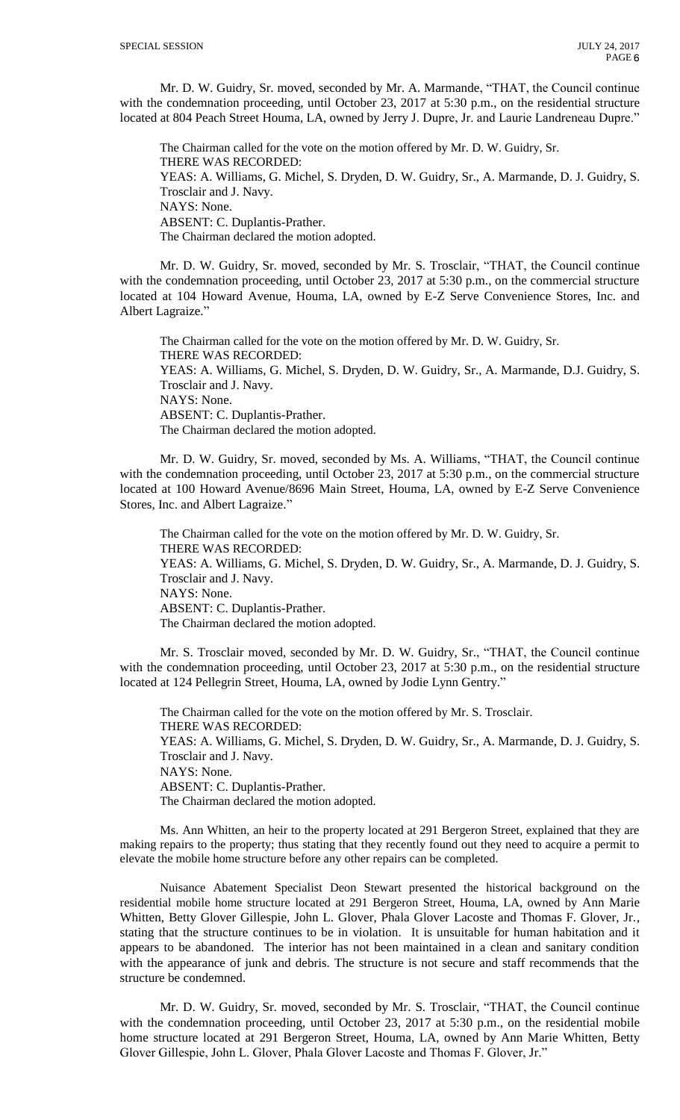Mr. D. W. Guidry, Sr. moved, seconded by Mr. A. Marmande, "THAT, the Council continue with the condemnation proceeding, until October 23, 2017 at 5:30 p.m., on the residential structure located at 804 Peach Street Houma, LA, owned by Jerry J. Dupre, Jr. and Laurie Landreneau Dupre."

The Chairman called for the vote on the motion offered by Mr. D. W. Guidry, Sr. THERE WAS RECORDED: YEAS: A. Williams, G. Michel, S. Dryden, D. W. Guidry, Sr., A. Marmande, D. J. Guidry, S. Trosclair and J. Navy. NAYS: None. ABSENT: C. Duplantis-Prather. The Chairman declared the motion adopted.

Mr. D. W. Guidry, Sr. moved, seconded by Mr. S. Trosclair, "THAT, the Council continue with the condemnation proceeding, until October 23, 2017 at 5:30 p.m., on the commercial structure located at 104 Howard Avenue, Houma, LA, owned by E-Z Serve Convenience Stores, Inc. and Albert Lagraize."

The Chairman called for the vote on the motion offered by Mr. D. W. Guidry, Sr. THERE WAS RECORDED: YEAS: A. Williams, G. Michel, S. Dryden, D. W. Guidry, Sr., A. Marmande, D.J. Guidry, S. Trosclair and J. Navy. NAYS: None. ABSENT: C. Duplantis-Prather. The Chairman declared the motion adopted.

Mr. D. W. Guidry, Sr. moved, seconded by Ms. A. Williams, "THAT, the Council continue with the condemnation proceeding, until October 23, 2017 at 5:30 p.m., on the commercial structure located at 100 Howard Avenue/8696 Main Street, Houma, LA, owned by E-Z Serve Convenience Stores, Inc. and Albert Lagraize."

The Chairman called for the vote on the motion offered by Mr. D. W. Guidry, Sr. THERE WAS RECORDED: YEAS: A. Williams, G. Michel, S. Dryden, D. W. Guidry, Sr., A. Marmande, D. J. Guidry, S. Trosclair and J. Navy. NAYS: None. ABSENT: C. Duplantis-Prather. The Chairman declared the motion adopted.

Mr. S. Trosclair moved, seconded by Mr. D. W. Guidry, Sr., "THAT, the Council continue with the condemnation proceeding, until October 23, 2017 at 5:30 p.m., on the residential structure located at 124 Pellegrin Street, Houma, LA, owned by Jodie Lynn Gentry."

The Chairman called for the vote on the motion offered by Mr. S. Trosclair. THERE WAS RECORDED: YEAS: A. Williams, G. Michel, S. Dryden, D. W. Guidry, Sr., A. Marmande, D. J. Guidry, S. Trosclair and J. Navy. NAYS: None. ABSENT: C. Duplantis-Prather. The Chairman declared the motion adopted.

Ms. Ann Whitten, an heir to the property located at 291 Bergeron Street, explained that they are making repairs to the property; thus stating that they recently found out they need to acquire a permit to elevate the mobile home structure before any other repairs can be completed.

Nuisance Abatement Specialist Deon Stewart presented the historical background on the residential mobile home structure located at 291 Bergeron Street, Houma, LA, owned by Ann Marie Whitten, Betty Glover Gillespie, John L. Glover, Phala Glover Lacoste and Thomas F. Glover, Jr., stating that the structure continues to be in violation. It is unsuitable for human habitation and it appears to be abandoned. The interior has not been maintained in a clean and sanitary condition with the appearance of junk and debris. The structure is not secure and staff recommends that the structure be condemned.

Mr. D. W. Guidry, Sr. moved, seconded by Mr. S. Trosclair, "THAT, the Council continue with the condemnation proceeding, until October 23, 2017 at 5:30 p.m., on the residential mobile home structure located at 291 Bergeron Street, Houma, LA, owned by Ann Marie Whitten, Betty Glover Gillespie, John L. Glover, Phala Glover Lacoste and Thomas F. Glover, Jr."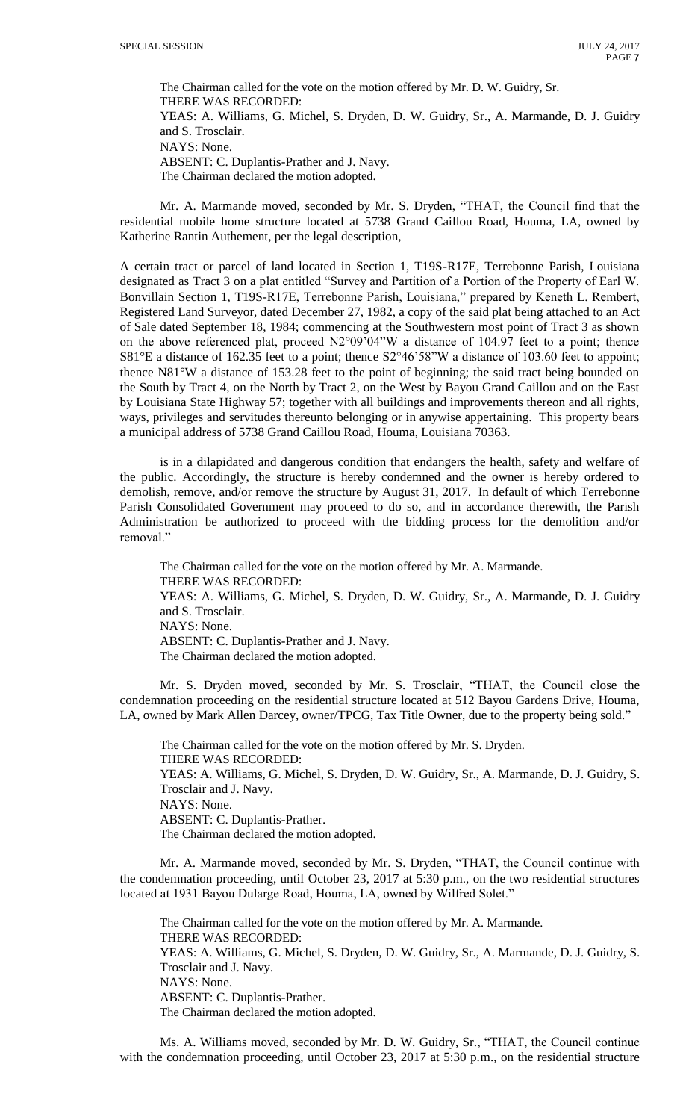The Chairman called for the vote on the motion offered by Mr. D. W. Guidry, Sr. THERE WAS RECORDED: YEAS: A. Williams, G. Michel, S. Dryden, D. W. Guidry, Sr., A. Marmande, D. J. Guidry and S. Trosclair. NAYS: None. ABSENT: C. Duplantis-Prather and J. Navy. The Chairman declared the motion adopted.

Mr. A. Marmande moved, seconded by Mr. S. Dryden, "THAT, the Council find that the residential mobile home structure located at 5738 Grand Caillou Road, Houma, LA, owned by Katherine Rantin Authement, per the legal description,

A certain tract or parcel of land located in Section 1, T19S-R17E, Terrebonne Parish, Louisiana designated as Tract 3 on a plat entitled "Survey and Partition of a Portion of the Property of Earl W. Bonvillain Section 1, T19S-R17E, Terrebonne Parish, Louisiana," prepared by Keneth L. Rembert, Registered Land Surveyor, dated December 27, 1982, a copy of the said plat being attached to an Act of Sale dated September 18, 1984; commencing at the Southwestern most point of Tract 3 as shown on the above referenced plat, proceed N2°09'04"W a distance of 104.97 feet to a point; thence S81<sup>o</sup>E a distance of 162.35 feet to a point; thence S2<sup>o</sup>46'58"W a distance of 103.60 feet to appoint; thence N81°W a distance of 153.28 feet to the point of beginning; the said tract being bounded on the South by Tract 4, on the North by Tract 2, on the West by Bayou Grand Caillou and on the East by Louisiana State Highway 57; together with all buildings and improvements thereon and all rights, ways, privileges and servitudes thereunto belonging or in anywise appertaining. This property bears a municipal address of 5738 Grand Caillou Road, Houma, Louisiana 70363.

is in a dilapidated and dangerous condition that endangers the health, safety and welfare of the public. Accordingly, the structure is hereby condemned and the owner is hereby ordered to demolish, remove, and/or remove the structure by August 31, 2017. In default of which Terrebonne Parish Consolidated Government may proceed to do so, and in accordance therewith, the Parish Administration be authorized to proceed with the bidding process for the demolition and/or removal."

The Chairman called for the vote on the motion offered by Mr. A. Marmande. THERE WAS RECORDED: YEAS: A. Williams, G. Michel, S. Dryden, D. W. Guidry, Sr., A. Marmande, D. J. Guidry and S. Trosclair. NAYS: None. ABSENT: C. Duplantis-Prather and J. Navy. The Chairman declared the motion adopted.

Mr. S. Dryden moved, seconded by Mr. S. Trosclair, "THAT, the Council close the condemnation proceeding on the residential structure located at 512 Bayou Gardens Drive, Houma, LA, owned by Mark Allen Darcey, owner/TPCG, Tax Title Owner, due to the property being sold."

The Chairman called for the vote on the motion offered by Mr. S. Dryden. THERE WAS RECORDED: YEAS: A. Williams, G. Michel, S. Dryden, D. W. Guidry, Sr., A. Marmande, D. J. Guidry, S. Trosclair and J. Navy. NAYS: None. ABSENT: C. Duplantis-Prather. The Chairman declared the motion adopted.

Mr. A. Marmande moved, seconded by Mr. S. Dryden, "THAT, the Council continue with the condemnation proceeding, until October 23, 2017 at 5:30 p.m., on the two residential structures located at 1931 Bayou Dularge Road, Houma, LA, owned by Wilfred Solet."

The Chairman called for the vote on the motion offered by Mr. A. Marmande. THERE WAS RECORDED: YEAS: A. Williams, G. Michel, S. Dryden, D. W. Guidry, Sr., A. Marmande, D. J. Guidry, S. Trosclair and J. Navy. NAYS: None. ABSENT: C. Duplantis-Prather. The Chairman declared the motion adopted.

Ms. A. Williams moved, seconded by Mr. D. W. Guidry, Sr., "THAT, the Council continue with the condemnation proceeding, until October 23, 2017 at 5:30 p.m., on the residential structure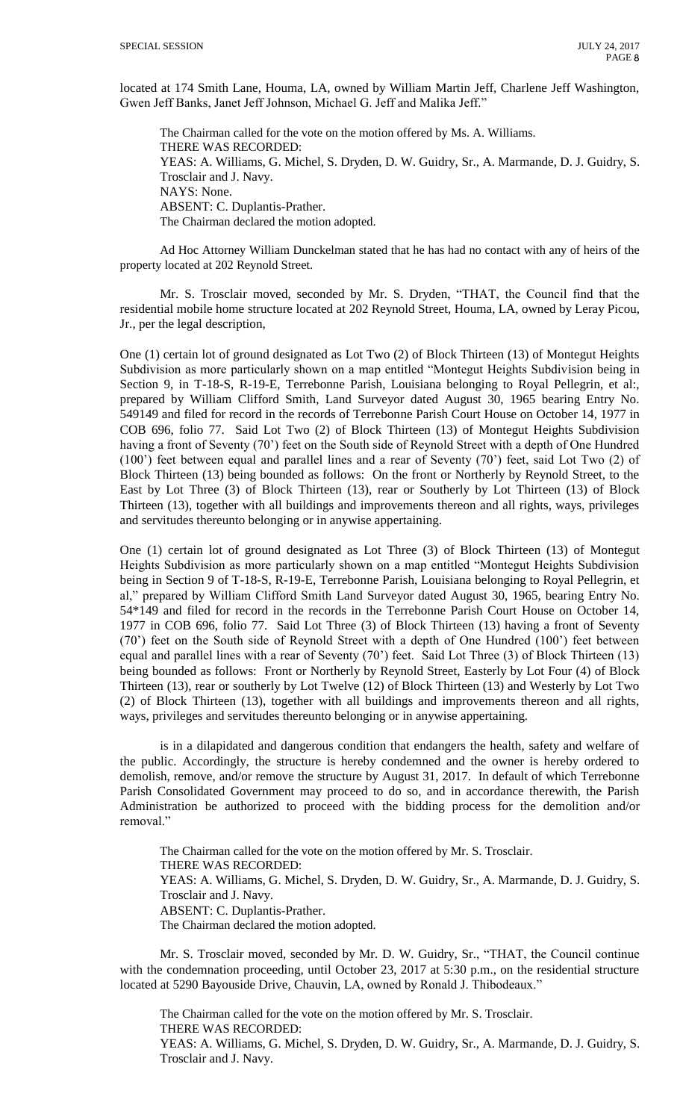located at 174 Smith Lane, Houma, LA, owned by William Martin Jeff, Charlene Jeff Washington, Gwen Jeff Banks, Janet Jeff Johnson, Michael G. Jeff and Malika Jeff."

The Chairman called for the vote on the motion offered by Ms. A. Williams. THERE WAS RECORDED: YEAS: A. Williams, G. Michel, S. Dryden, D. W. Guidry, Sr., A. Marmande, D. J. Guidry, S. Trosclair and J. Navy. NAYS: None. ABSENT: C. Duplantis-Prather. The Chairman declared the motion adopted.

Ad Hoc Attorney William Dunckelman stated that he has had no contact with any of heirs of the property located at 202 Reynold Street.

Mr. S. Trosclair moved, seconded by Mr. S. Dryden, "THAT, the Council find that the residential mobile home structure located at 202 Reynold Street, Houma, LA, owned by Leray Picou, Jr., per the legal description,

One (1) certain lot of ground designated as Lot Two (2) of Block Thirteen (13) of Montegut Heights Subdivision as more particularly shown on a map entitled "Montegut Heights Subdivision being in Section 9, in T-18-S, R-19-E, Terrebonne Parish, Louisiana belonging to Royal Pellegrin, et al:, prepared by William Clifford Smith, Land Surveyor dated August 30, 1965 bearing Entry No. 549149 and filed for record in the records of Terrebonne Parish Court House on October 14, 1977 in COB 696, folio 77. Said Lot Two (2) of Block Thirteen (13) of Montegut Heights Subdivision having a front of Seventy (70') feet on the South side of Reynold Street with a depth of One Hundred (100') feet between equal and parallel lines and a rear of Seventy (70') feet, said Lot Two (2) of Block Thirteen (13) being bounded as follows: On the front or Northerly by Reynold Street, to the East by Lot Three (3) of Block Thirteen (13), rear or Southerly by Lot Thirteen (13) of Block Thirteen (13), together with all buildings and improvements thereon and all rights, ways, privileges and servitudes thereunto belonging or in anywise appertaining.

One (1) certain lot of ground designated as Lot Three (3) of Block Thirteen (13) of Montegut Heights Subdivision as more particularly shown on a map entitled "Montegut Heights Subdivision being in Section 9 of T-18-S, R-19-E, Terrebonne Parish, Louisiana belonging to Royal Pellegrin, et al," prepared by William Clifford Smith Land Surveyor dated August 30, 1965, bearing Entry No. 54\*149 and filed for record in the records in the Terrebonne Parish Court House on October 14, 1977 in COB 696, folio 77. Said Lot Three (3) of Block Thirteen (13) having a front of Seventy (70') feet on the South side of Reynold Street with a depth of One Hundred (100') feet between equal and parallel lines with a rear of Seventy (70') feet. Said Lot Three (3) of Block Thirteen (13) being bounded as follows: Front or Northerly by Reynold Street, Easterly by Lot Four (4) of Block Thirteen (13), rear or southerly by Lot Twelve (12) of Block Thirteen (13) and Westerly by Lot Two (2) of Block Thirteen (13), together with all buildings and improvements thereon and all rights, ways, privileges and servitudes thereunto belonging or in anywise appertaining.

is in a dilapidated and dangerous condition that endangers the health, safety and welfare of the public. Accordingly, the structure is hereby condemned and the owner is hereby ordered to demolish, remove, and/or remove the structure by August 31, 2017. In default of which Terrebonne Parish Consolidated Government may proceed to do so, and in accordance therewith, the Parish Administration be authorized to proceed with the bidding process for the demolition and/or removal."

The Chairman called for the vote on the motion offered by Mr. S. Trosclair. THERE WAS RECORDED: YEAS: A. Williams, G. Michel, S. Dryden, D. W. Guidry, Sr., A. Marmande, D. J. Guidry, S. Trosclair and J. Navy. ABSENT: C. Duplantis-Prather. The Chairman declared the motion adopted.

Mr. S. Trosclair moved, seconded by Mr. D. W. Guidry, Sr., "THAT, the Council continue with the condemnation proceeding, until October 23, 2017 at 5:30 p.m., on the residential structure located at 5290 Bayouside Drive, Chauvin, LA, owned by Ronald J. Thibodeaux."

The Chairman called for the vote on the motion offered by Mr. S. Trosclair. THERE WAS RECORDED: YEAS: A. Williams, G. Michel, S. Dryden, D. W. Guidry, Sr., A. Marmande, D. J. Guidry, S. Trosclair and J. Navy.